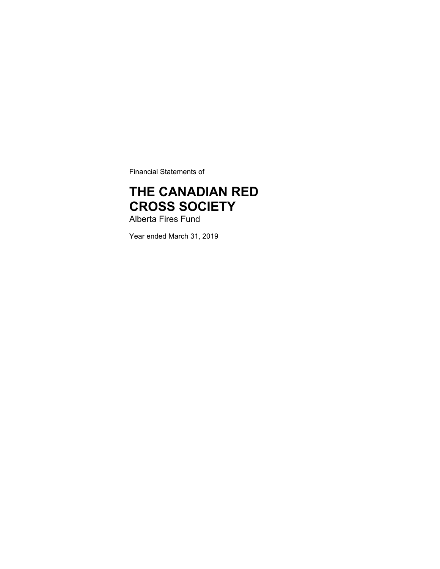Financial Statements of

# **THE CANADIAN RED CROSS SOCIETY**

Alberta Fires Fund

Year ended March 31, 2019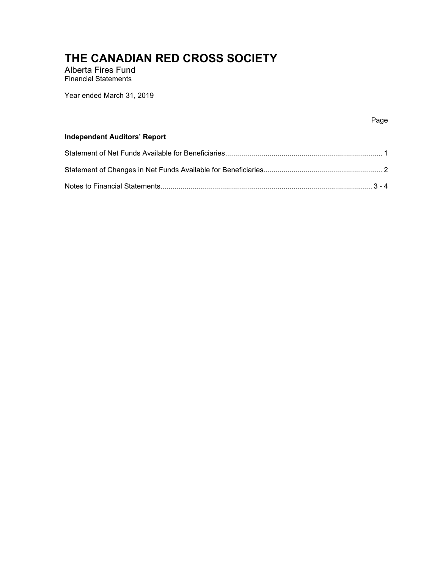Alberta Fires Fund Financial Statements

Year ended March 31, 2019

#### na di pagbabang pag-ang pag-ang pag-ang pag-ang pag-ang pag-ang pag-ang pag-ang pag-ang pag-ang pag-

#### **Independent Auditors' Report**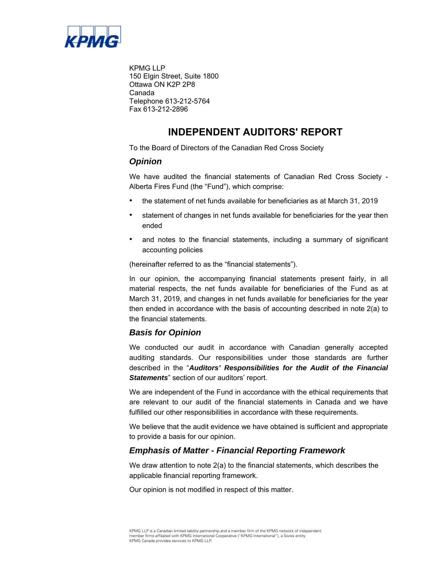

KPMG LLP 150 Elgin Street, Suite 1800 Ottawa ON K2P 2P8 Canada Telephone 613-212-5764 Fax 613-212-2896

### **INDEPENDENT AUDITORS' REPORT**

To the Board of Directors of the Canadian Red Cross Society

#### *Opinion*

We have audited the financial statements of Canadian Red Cross Society - Alberta Fires Fund (the "Fund"), which comprise:

- the statement of net funds available for beneficiaries as at March 31, 2019
- statement of changes in net funds available for beneficiaries for the year then ended
- and notes to the financial statements, including a summary of significant accounting policies

(hereinafter referred to as the "financial statements").

In our opinion, the accompanying financial statements present fairly, in all material respects, the net funds available for beneficiaries of the Fund as at March 31, 2019, and changes in net funds available for beneficiaries for the year then ended in accordance with the basis of accounting described in note 2(a) to the financial statements.

#### *Basis for Opinion*

We conducted our audit in accordance with Canadian generally accepted auditing standards. Our responsibilities under those standards are further described in the "*Auditors' Responsibilities for the Audit of the Financial Statements*" section of our auditors' report.

We are independent of the Fund in accordance with the ethical requirements that are relevant to our audit of the financial statements in Canada and we have fulfilled our other responsibilities in accordance with these requirements.

We believe that the audit evidence we have obtained is sufficient and appropriate to provide a basis for our opinion.

#### *Emphasis of Matter - Financial Reporting Framework*

We draw attention to note 2(a) to the financial statements, which describes the applicable financial reporting framework.

Our opinion is not modified in respect of this matter.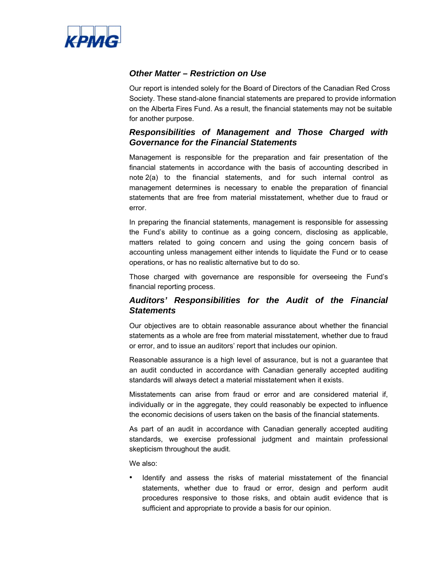

#### *Other Matter – Restriction on Use*

Our report is intended solely for the Board of Directors of the Canadian Red Cross Society. These stand-alone financial statements are prepared to provide information on the Alberta Fires Fund. As a result, the financial statements may not be suitable for another purpose.

#### *Responsibilities of Management and Those Charged with Governance for the Financial Statements*

Management is responsible for the preparation and fair presentation of the financial statements in accordance with the basis of accounting described in note 2(a) to the financial statements, and for such internal control as management determines is necessary to enable the preparation of financial statements that are free from material misstatement, whether due to fraud or error.

In preparing the financial statements, management is responsible for assessing the Fund's ability to continue as a going concern, disclosing as applicable, matters related to going concern and using the going concern basis of accounting unless management either intends to liquidate the Fund or to cease operations, or has no realistic alternative but to do so.

Those charged with governance are responsible for overseeing the Fund's financial reporting process.

#### *Auditors' Responsibilities for the Audit of the Financial Statements*

Our objectives are to obtain reasonable assurance about whether the financial statements as a whole are free from material misstatement, whether due to fraud or error, and to issue an auditors' report that includes our opinion.

Reasonable assurance is a high level of assurance, but is not a guarantee that an audit conducted in accordance with Canadian generally accepted auditing standards will always detect a material misstatement when it exists.

Misstatements can arise from fraud or error and are considered material if, individually or in the aggregate, they could reasonably be expected to influence the economic decisions of users taken on the basis of the financial statements.

As part of an audit in accordance with Canadian generally accepted auditing standards, we exercise professional judgment and maintain professional skepticism throughout the audit.

We also:

Identify and assess the risks of material misstatement of the financial statements, whether due to fraud or error, design and perform audit procedures responsive to those risks, and obtain audit evidence that is sufficient and appropriate to provide a basis for our opinion.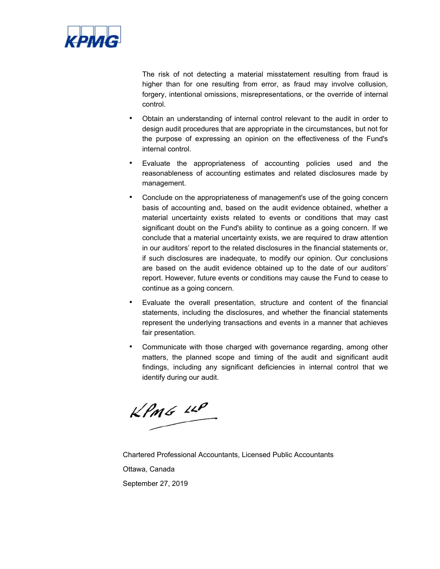

The risk of not detecting a material misstatement resulting from fraud is higher than for one resulting from error, as fraud may involve collusion, forgery, intentional omissions, misrepresentations, or the override of internal control.

- Obtain an understanding of internal control relevant to the audit in order to design audit procedures that are appropriate in the circumstances, but not for the purpose of expressing an opinion on the effectiveness of the Fund's internal control.
- Evaluate the appropriateness of accounting policies used and the reasonableness of accounting estimates and related disclosures made by management.
- Conclude on the appropriateness of management's use of the going concern basis of accounting and, based on the audit evidence obtained, whether a material uncertainty exists related to events or conditions that may cast significant doubt on the Fund's ability to continue as a going concern. If we conclude that a material uncertainty exists, we are required to draw attention in our auditors' report to the related disclosures in the financial statements or, if such disclosures are inadequate, to modify our opinion. Our conclusions are based on the audit evidence obtained up to the date of our auditors' report. However, future events or conditions may cause the Fund to cease to continue as a going concern.
- Evaluate the overall presentation, structure and content of the financial statements, including the disclosures, and whether the financial statements represent the underlying transactions and events in a manner that achieves fair presentation.
- Communicate with those charged with governance regarding, among other matters, the planned scope and timing of the audit and significant audit findings, including any significant deficiencies in internal control that we identify during our audit.

KPMG LLP

Chartered Professional Accountants, Licensed Public Accountants Ottawa, Canada September 27, 2019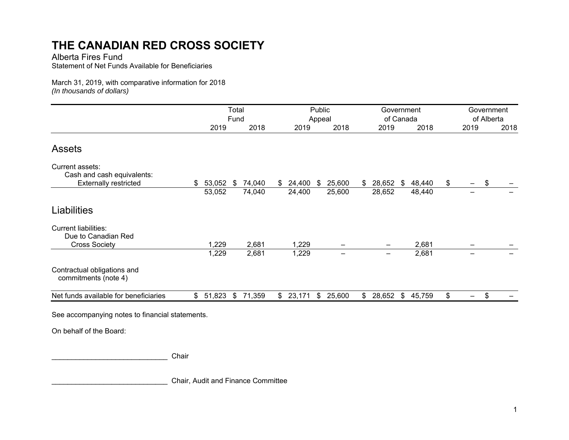Alberta Fires Fund

Statement of Net Funds Available for Beneficiaries

March 31, 2019, with comparative information for 2018 *(In thousands of dollars)* 

|                                                     | Total |        |    |        |    |        | Public |           | Government |                          |    | Government |            |      |    |      |
|-----------------------------------------------------|-------|--------|----|--------|----|--------|--------|-----------|------------|--------------------------|----|------------|------------|------|----|------|
|                                                     |       | Fund   |    |        |    |        | Appeal | of Canada |            |                          |    |            | of Alberta |      |    |      |
|                                                     |       | 2019   |    | 2018   |    | 2019   |        | 2018      |            | 2019                     |    | 2018       |            | 2019 |    | 2018 |
| <b>Assets</b>                                       |       |        |    |        |    |        |        |           |            |                          |    |            |            |      |    |      |
| Current assets:<br>Cash and cash equivalents:       |       |        |    |        |    |        |        |           |            |                          |    |            |            |      |    |      |
| <b>Externally restricted</b>                        | \$    | 53,052 | \$ | 74,040 | \$ | 24,400 | S.     | 25,600    | \$         | 28,652                   | \$ | 48,440     | \$         | —    | \$ |      |
|                                                     |       | 53,052 |    | 74,040 |    | 24,400 |        | 25,600    |            | 28,652                   |    | 48,440     |            | —    |    |      |
| Liabilities                                         |       |        |    |        |    |        |        |           |            |                          |    |            |            |      |    |      |
| <b>Current liabilities:</b><br>Due to Canadian Red  |       |        |    |        |    |        |        |           |            |                          |    |            |            |      |    |      |
| <b>Cross Society</b>                                |       | 1,229  |    | 2,681  |    | 1,229  |        |           |            |                          |    | 2,681      |            |      |    |      |
|                                                     |       | 1,229  |    | 2,681  |    | 1,229  |        |           |            | $\overline{\phantom{0}}$ |    | 2,681      |            |      |    |      |
| Contractual obligations and<br>commitments (note 4) |       |        |    |        |    |        |        |           |            |                          |    |            |            |      |    |      |
| Net funds available for beneficiaries               | \$    | 51,823 | \$ | 71,359 | \$ | 23,171 | \$     | 25,600    | \$         | 28,652                   | \$ | 45,759     | \$         | -    | \$ |      |
|                                                     |       |        |    |        |    |        |        |           |            |                          |    |            |            |      |    |      |

See accompanying notes to financial statements.

On behalf of the Board:

\_\_\_\_\_\_\_\_\_\_\_\_\_\_\_\_\_\_\_\_\_\_\_\_\_\_\_\_\_ Chair

\_\_\_\_\_\_\_\_\_\_\_\_\_\_\_\_\_\_\_\_\_\_\_\_\_\_\_\_\_ Chair, Audit and Finance Committee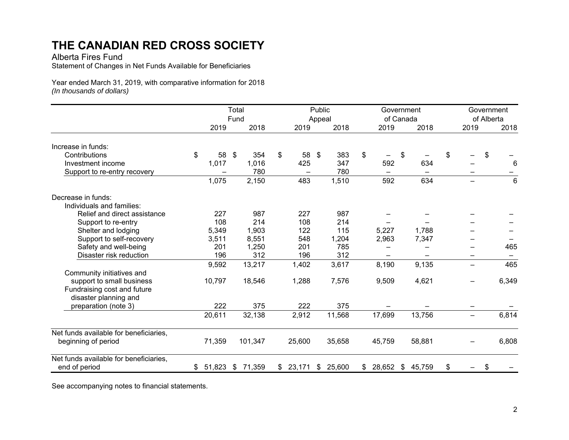Alberta Fires Fund

Statement of Changes in Net Funds Available for Beneficiaries

Year ended March 31, 2019, with comparative information for 201 8 *(In thousands of dollars)* 

|                                        |                   |        | Total<br>Fund  |         |                |          | Public<br>Appeal |        | Government<br>of Canada |    | Government<br>of Alberta |    |                   |    |                 |
|----------------------------------------|-------------------|--------|----------------|---------|----------------|----------|------------------|--------|-------------------------|----|--------------------------|----|-------------------|----|-----------------|
|                                        |                   | 2019   |                | 2018    |                | 2019     |                  | 2018   | 2019                    |    | 2018                     |    | 2019              |    | 2018            |
| Increase in funds:                     |                   |        |                |         |                |          |                  |        |                         |    |                          |    |                   |    |                 |
| Contributions                          | $\boldsymbol{\$}$ | 58     | $\mathfrak{P}$ | 354     | $\mathfrak{P}$ | 58       | \$               | 383    | \$                      | \$ |                          | \$ |                   | \$ |                 |
| Investment income                      |                   | 1,017  |                | 1,016   |                | 425      |                  | 347    | 592                     |    | 634                      |    |                   |    | 6               |
| Support to re-entry recovery           |                   |        |                | 780     |                |          |                  | 780    |                         |    |                          |    |                   |    |                 |
|                                        |                   | 1,075  |                | 2,150   |                | 483      |                  | 1,510  | 592                     |    | 634                      |    |                   |    | $6\phantom{1}6$ |
| Decrease in funds:                     |                   |        |                |         |                |          |                  |        |                         |    |                          |    |                   |    |                 |
| Individuals and families:              |                   |        |                |         |                |          |                  |        |                         |    |                          |    |                   |    |                 |
| Relief and direct assistance           |                   | 227    |                | 987     |                | 227      |                  | 987    |                         |    |                          |    |                   |    |                 |
| Support to re-entry                    |                   | 108    |                | 214     |                | 108      |                  | 214    |                         |    |                          |    |                   |    |                 |
| Shelter and lodging                    |                   | 5,349  |                | 1,903   |                | 122      |                  | 115    | 5,227                   |    | 1,788                    |    |                   |    |                 |
| Support to self-recovery               |                   | 3,511  |                | 8,551   |                | 548      |                  | 1,204  | 2,963                   |    | 7,347                    |    |                   |    |                 |
| Safety and well-being                  |                   | 201    |                | 1,250   |                | 201      |                  | 785    |                         |    |                          |    |                   |    | 465             |
| Disaster risk reduction                |                   | 196    |                | 312     |                | 196      |                  | 312    |                         |    |                          |    |                   |    |                 |
|                                        |                   | 9,592  |                | 13,217  |                | 1,402    |                  | 3,617  | 8,190                   |    | 9,135                    |    | $\qquad \qquad$   |    | 465             |
| Community initiatives and              |                   |        |                |         |                |          |                  |        |                         |    |                          |    |                   |    |                 |
| support to small business              |                   | 10,797 |                | 18,546  |                | 1,288    |                  | 7,576  | 9,509                   |    | 4,621                    |    |                   |    | 6,349           |
| Fundraising cost and future            |                   |        |                |         |                |          |                  |        |                         |    |                          |    |                   |    |                 |
| disaster planning and                  |                   |        |                |         |                |          |                  |        |                         |    |                          |    |                   |    |                 |
| preparation (note 3)                   |                   | 222    |                | 375     |                | 222      |                  | 375    |                         |    |                          |    |                   |    |                 |
|                                        |                   | 20,611 |                | 32,138  |                | 2,912    |                  | 11,568 | 17,699                  |    | 13,756                   |    | $\qquad \qquad -$ |    | 6,814           |
| Net funds available for beneficiaries, |                   |        |                |         |                |          |                  |        |                         |    |                          |    |                   |    |                 |
| beginning of period                    |                   | 71,359 |                | 101,347 |                | 25,600   |                  | 35,658 | 45,759                  |    | 58,881                   |    |                   |    | 6,808           |
| Net funds available for beneficiaries, |                   |        |                |         |                |          |                  |        |                         |    |                          |    |                   |    |                 |
| end of period                          | \$                | 51,823 | \$             | 71,359  |                | \$23,171 | \$               | 25,600 | \$<br>28,652            | \$ | 45,759                   | \$ |                   | \$ |                 |

See accompanying notes to financial statements.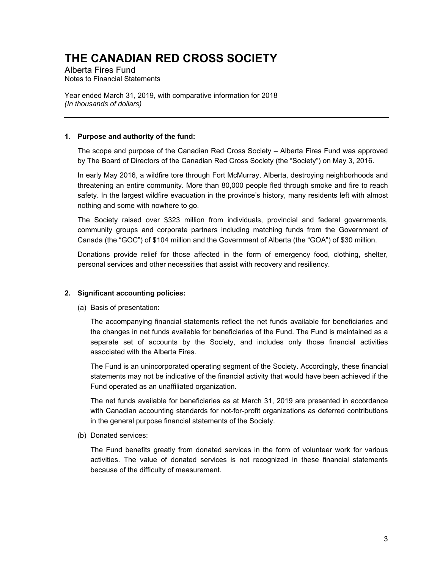Alberta Fires Fund Notes to Financial Statements

Year ended March 31, 2019, with comparative information for 2018 *(In thousands of dollars)* 

#### **1. Purpose and authority of the fund:**

The scope and purpose of the Canadian Red Cross Society – Alberta Fires Fund was approved by The Board of Directors of the Canadian Red Cross Society (the "Society") on May 3, 2016.

In early May 2016, a wildfire tore through Fort McMurray, Alberta, destroying neighborhoods and threatening an entire community. More than 80,000 people fled through smoke and fire to reach safety. In the largest wildfire evacuation in the province's history, many residents left with almost nothing and some with nowhere to go.

The Society raised over \$323 million from individuals, provincial and federal governments, community groups and corporate partners including matching funds from the Government of Canada (the "GOC") of \$104 million and the Government of Alberta (the "GOA") of \$30 million.

Donations provide relief for those affected in the form of emergency food, clothing, shelter, personal services and other necessities that assist with recovery and resiliency.

#### **2. Significant accounting policies:**

(a) Basis of presentation:

The accompanying financial statements reflect the net funds available for beneficiaries and the changes in net funds available for beneficiaries of the Fund. The Fund is maintained as a separate set of accounts by the Society, and includes only those financial activities associated with the Alberta Fires.

The Fund is an unincorporated operating segment of the Society. Accordingly, these financial statements may not be indicative of the financial activity that would have been achieved if the Fund operated as an unaffiliated organization.

The net funds available for beneficiaries as at March 31, 2019 are presented in accordance with Canadian accounting standards for not-for-profit organizations as deferred contributions in the general purpose financial statements of the Society.

(b) Donated services:

The Fund benefits greatly from donated services in the form of volunteer work for various activities. The value of donated services is not recognized in these financial statements because of the difficulty of measurement.